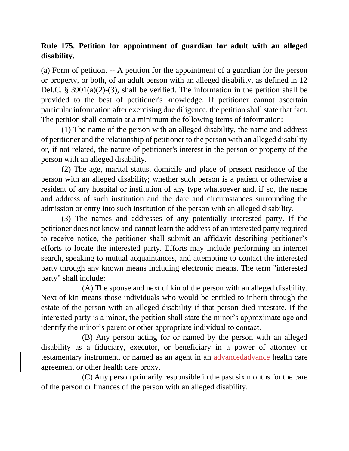## **Rule 175. Petition for appointment of guardian for adult with an alleged disability.**

(a) Form of petition. -- A petition for the appointment of a guardian for the person or property, or both, of an adult person with an alleged disability, as defined in 12 Del.C. § 3901(a)(2)-(3), shall be verified. The information in the petition shall be provided to the best of petitioner's knowledge. If petitioner cannot ascertain particular information after exercising due diligence, the petition shall state that fact. The petition shall contain at a minimum the following items of information:

(1) The name of the person with an alleged disability, the name and address of petitioner and the relationship of petitioner to the person with an alleged disability or, if not related, the nature of petitioner's interest in the person or property of the person with an alleged disability.

(2) The age, marital status, domicile and place of present residence of the person with an alleged disability; whether such person is a patient or otherwise a resident of any hospital or institution of any type whatsoever and, if so, the name and address of such institution and the date and circumstances surrounding the admission or entry into such institution of the person with an alleged disability.

(3) The names and addresses of any potentially interested party. If the petitioner does not know and cannot learn the address of an interested party required to receive notice, the petitioner shall submit an affidavit describing petitioner's efforts to locate the interested party. Efforts may include performing an internet search, speaking to mutual acquaintances, and attempting to contact the interested party through any known means including electronic means. The term "interested party" shall include:

(A) The spouse and next of kin of the person with an alleged disability. Next of kin means those individuals who would be entitled to inherit through the estate of the person with an alleged disability if that person died intestate. If the interested party is a minor, the petition shall state the minor's approximate age and identify the minor's parent or other appropriate individual to contact.

(B) Any person acting for or named by the person with an alleged disability as a fiduciary, executor, or beneficiary in a power of attorney or testamentary instrument, or named as an agent in an advancedadvance health care agreement or other health care proxy.

(C) Any person primarily responsible in the past six months for the care of the person or finances of the person with an alleged disability.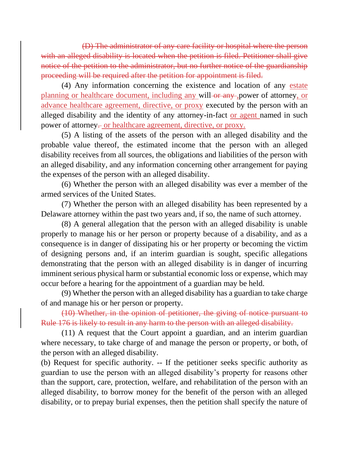(D) The administrator of any care facility or hospital where the person with an alleged disability is located when the petition is filed. Petitioner shall give notice of the petition to the administrator, but no further notice of the guardianship proceeding will be required after the petition for appointment is filed.

(4) Any information concerning the existence and location of any estate planning or healthcare document, including any will-or any , power of attorney, or advance healthcare agreement, directive, or proxy executed by the person with an alleged disability and the identity of any attorney-in-fact or agent named in such power of attorney. or healthcare agreement, directive, or proxy.

(5) A listing of the assets of the person with an alleged disability and the probable value thereof, the estimated income that the person with an alleged disability receives from all sources, the obligations and liabilities of the person with an alleged disability, and any information concerning other arrangement for paying the expenses of the person with an alleged disability.

(6) Whether the person with an alleged disability was ever a member of the armed services of the United States.

(7) Whether the person with an alleged disability has been represented by a Delaware attorney within the past two years and, if so, the name of such attorney.

(8) A general allegation that the person with an alleged disability is unable properly to manage his or her person or property because of a disability, and as a consequence is in danger of dissipating his or her property or becoming the victim of designing persons and, if an interim guardian is sought, specific allegations demonstrating that the person with an alleged disability is in danger of incurring imminent serious physical harm or substantial economic loss or expense, which may occur before a hearing for the appointment of a guardian may be held.

(9) Whether the person with an alleged disability has a guardian to take charge of and manage his or her person or property.

(10) Whether, in the opinion of petitioner, the giving of notice pursuant to Rule 176 is likely to result in any harm to the person with an alleged disability.

(11) A request that the Court appoint a guardian, and an interim guardian where necessary, to take charge of and manage the person or property, or both, of the person with an alleged disability.

(b) Request for specific authority. -- If the petitioner seeks specific authority as guardian to use the person with an alleged disability's property for reasons other than the support, care, protection, welfare, and rehabilitation of the person with an alleged disability, to borrow money for the benefit of the person with an alleged disability, or to prepay burial expenses, then the petition shall specify the nature of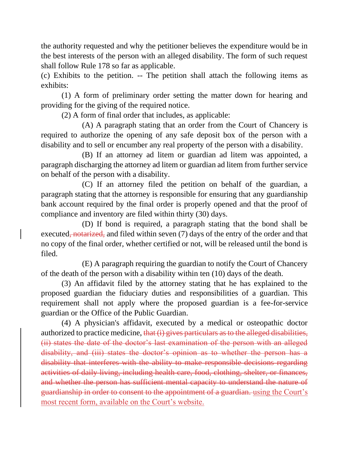the authority requested and why the petitioner believes the expenditure would be in the best interests of the person with an alleged disability. The form of such request shall follow Rule 178 so far as applicable.

(c) Exhibits to the petition. -- The petition shall attach the following items as exhibits:

(1) A form of preliminary order setting the matter down for hearing and providing for the giving of the required notice.

(2) A form of final order that includes, as applicable:

(A) A paragraph stating that an order from the Court of Chancery is required to authorize the opening of any safe deposit box of the person with a disability and to sell or encumber any real property of the person with a disability.

(B) If an attorney ad litem or guardian ad litem was appointed, a paragraph discharging the attorney ad litem or guardian ad litem from further service on behalf of the person with a disability.

(C) If an attorney filed the petition on behalf of the guardian, a paragraph stating that the attorney is responsible for ensuring that any guardianship bank account required by the final order is properly opened and that the proof of compliance and inventory are filed within thirty (30) days.

(D) If bond is required, a paragraph stating that the bond shall be executed, notarized, and filed within seven (7) days of the entry of the order and that no copy of the final order, whether certified or not, will be released until the bond is filed.

(E) A paragraph requiring the guardian to notify the Court of Chancery of the death of the person with a disability within ten (10) days of the death.

(3) An affidavit filed by the attorney stating that he has explained to the proposed guardian the fiduciary duties and responsibilities of a guardian. This requirement shall not apply where the proposed guardian is a fee-for-service guardian or the Office of the Public Guardian.

(4) A physician's affidavit, executed by a medical or osteopathic doctor authorized to practice medicine, that (i) gives particulars as to the alleged disabilities, (ii) states the date of the doctor's last examination of the person with an alleged disability, and (iii) states the doctor's opinion as to whether the person has a disability that interferes with the ability to make responsible decisions regarding activities of daily living, including health care, food, clothing, shelter, or finances, and whether the person has sufficient mental capacity to understand the nature of guardianship in order to consent to the appointment of a guardian. using the Court's most recent form, available on the Court's website.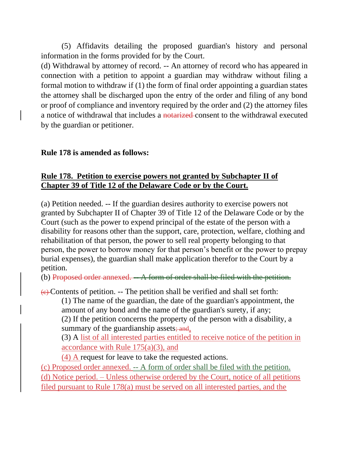(5) Affidavits detailing the proposed guardian's history and personal information in the forms provided for by the Court.

(d) Withdrawal by attorney of record. -- An attorney of record who has appeared in connection with a petition to appoint a guardian may withdraw without filing a formal motion to withdraw if (1) the form of final order appointing a guardian states the attorney shall be discharged upon the entry of the order and filing of any bond or proof of compliance and inventory required by the order and (2) the attorney files a notice of withdrawal that includes a notarized consent to the withdrawal executed by the guardian or petitioner.

## **Rule 178 is amended as follows:**

## **Rule 178. Petition to exercise powers not granted by Subchapter II of Chapter 39 of Title 12 of the Delaware Code or by the Court.**

(a) Petition needed. -- If the guardian desires authority to exercise powers not granted by Subchapter II of Chapter 39 of Title 12 of the Delaware Code or by the Court (such as the power to expend principal of the estate of the person with a disability for reasons other than the support, care, protection, welfare, clothing and rehabilitation of that person, the power to sell real property belonging to that person, the power to borrow money for that person's benefit or the power to prepay burial expenses), the guardian shall make application therefor to the Court by a petition.

(b) Proposed order annexed.  $- A$  form of order shall be filed with the petition.

 $\leftrightarrow$  Contents of petition. -- The petition shall be verified and shall set forth:

(1) The name of the guardian, the date of the guardian's appointment, the amount of any bond and the name of the guardian's surety, if any; (2) If the petition concerns the property of the person with a disability, a summary of the guardianship assets; and,

(3) A list of all interested parties entitled to receive notice of the petition in accordance with Rule  $175(a)(3)$ , and

(4) A request for leave to take the requested actions.

(c) Proposed order annexed. -- A form of order shall be filed with the petition. (d) Notice period. – Unless otherwise ordered by the Court, notice of all petitions filed pursuant to Rule 178(a) must be served on all interested parties, and the